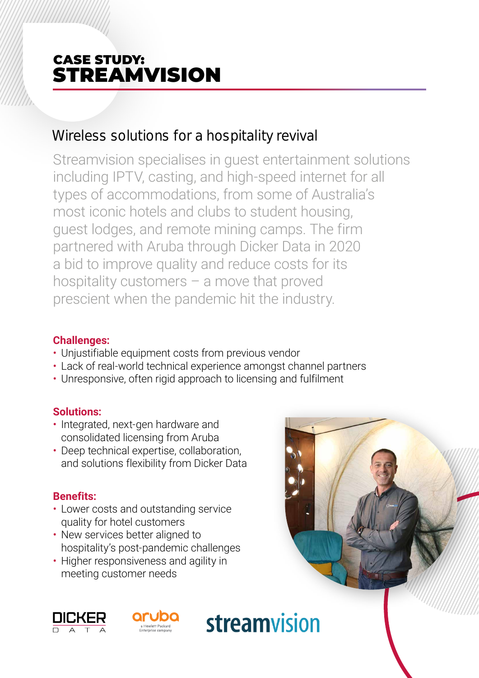# CASE STUDY: STREAMVISION

## Wireless solutions for a hospitality revival

Streamvision specialises in guest entertainment solutions including IPTV, casting, and high-speed internet for all types of accommodations, from some of Australia's most iconic hotels and clubs to student housing, guest lodges, and remote mining camps. The firm partnered with Aruba through Dicker Data in 2020 a bid to improve quality and reduce costs for its hospitality customers – a move that proved prescient when the pandemic hit the industry.

#### **Challenges:**

- Unjustifiable equipment costs from previous vendor
- Lack of real-world technical experience amongst channel partners

streamvision

• Unresponsive, often rigid approach to licensing and fulfilment

#### **Solutions:**

- Integrated, next-gen hardware and consolidated licensing from Aruba
- Deep technical expertise, collaboration, and solutions flexibility from Dicker Data

#### **Benefits:**

- Lower costs and outstanding service quality for hotel customers
- New services better aligned to hospitality's post-pandemic challenges
- Higher responsiveness and agility in meeting customer needs



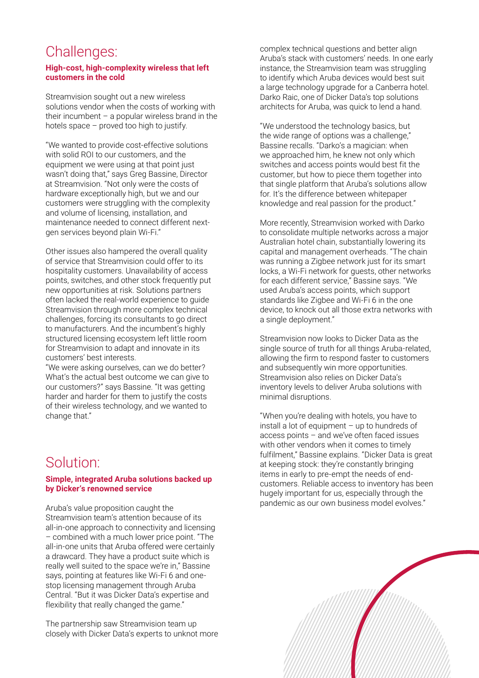## Challenges:

#### **High-cost, high-complexity wireless that left customers in the cold**

Streamvision sought out a new wireless solutions vendor when the costs of working with their incumbent  $-$  a popular wireless brand in the hotels space – proved too high to justify.

"We wanted to provide cost-effective solutions with solid ROI to our customers, and the equipment we were using at that point just wasn't doing that," says Greg Bassine, Director at Streamvision. "Not only were the costs of hardware exceptionally high, but we and our customers were struggling with the complexity and volume of licensing, installation, and maintenance needed to connect different nextgen services beyond plain Wi-Fi."

Other issues also hampered the overall quality of service that Streamvision could offer to its hospitality customers. Unavailability of access points, switches, and other stock frequently put new opportunities at risk. Solutions partners often lacked the real-world experience to guide Streamvision through more complex technical challenges, forcing its consultants to go direct to manufacturers. And the incumbent's highly structured licensing ecosystem left little room for Streamvision to adapt and innovate in its customers' best interests.

"We were asking ourselves, can we do better? What's the actual best outcome we can give to our customers?" says Bassine. "It was getting harder and harder for them to justify the costs of their wireless technology, and we wanted to change that."

## Solution:

#### **Simple, integrated Aruba solutions backed up by Dicker's renowned service**

Aruba's value proposition caught the Streamvision team's attention because of its all-in-one approach to connectivity and licensing – combined with a much lower price point. "The all-in-one units that Aruba offered were certainly a drawcard. They have a product suite which is really well suited to the space we're in," Bassine says, pointing at features like Wi-Fi 6 and onestop licensing management through Aruba Central. "But it was Dicker Data's expertise and flexibility that really changed the game."

The partnership saw Streamvision team up closely with Dicker Data's experts to unknot more complex technical questions and better align Aruba's stack with customers' needs. In one early instance, the Streamvision team was struggling to identify which Aruba devices would best suit a large technology upgrade for a Canberra hotel. Darko Raic, one of Dicker Data's top solutions architects for Aruba, was quick to lend a hand.

"We understood the technology basics, but the wide range of options was a challenge," Bassine recalls. "Darko's a magician: when we approached him, he knew not only which switches and access points would best fit the customer, but how to piece them together into that single platform that Aruba's solutions allow for. It's the difference between whitepaper knowledge and real passion for the product."

More recently, Streamvision worked with Darko to consolidate multiple networks across a major Australian hotel chain, substantially lowering its capital and management overheads. "The chain was running a Zigbee network just for its smart locks, a Wi-Fi network for guests, other networks for each different service," Bassine says. "We used Aruba's access points, which support standards like Zigbee and Wi-Fi 6 in the one device, to knock out all those extra networks with a single deployment."

Streamvision now looks to Dicker Data as the single source of truth for all things Aruba-related, allowing the firm to respond faster to customers and subsequently win more opportunities. Streamvision also relies on Dicker Data's inventory levels to deliver Aruba solutions with minimal disruptions.

"When you're dealing with hotels, you have to install a lot of equipment – up to hundreds of access points – and we've often faced issues with other vendors when it comes to timely fulfilment," Bassine explains. "Dicker Data is great at keeping stock: they're constantly bringing items in early to pre-empt the needs of endcustomers. Reliable access to inventory has been hugely important for us, especially through the pandemic as our own business model evolves."